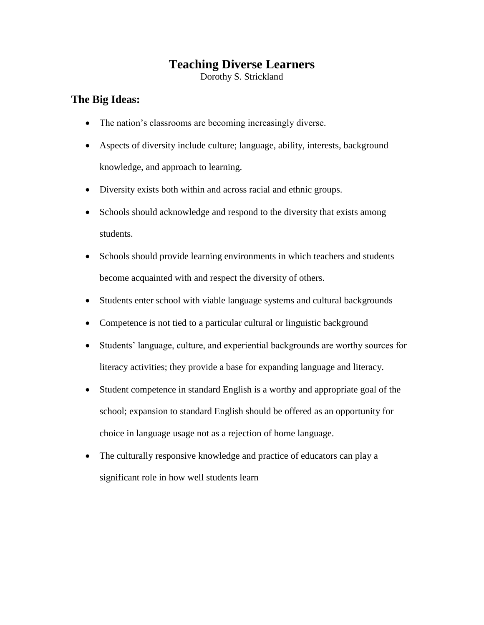## **Teaching Diverse Learners**

Dorothy S. Strickland

## **The Big Ideas:**

- The nation's classrooms are becoming increasingly diverse.
- Aspects of diversity include culture; language, ability, interests, background knowledge, and approach to learning.
- Diversity exists both within and across racial and ethnic groups.
- Schools should acknowledge and respond to the diversity that exists among students.
- Schools should provide learning environments in which teachers and students become acquainted with and respect the diversity of others.
- Students enter school with viable language systems and cultural backgrounds
- Competence is not tied to a particular cultural or linguistic background
- Students' language, culture, and experiential backgrounds are worthy sources for literacy activities; they provide a base for expanding language and literacy.
- Student competence in standard English is a worthy and appropriate goal of the school; expansion to standard English should be offered as an opportunity for choice in language usage not as a rejection of home language.
- The culturally responsive knowledge and practice of educators can play a significant role in how well students learn